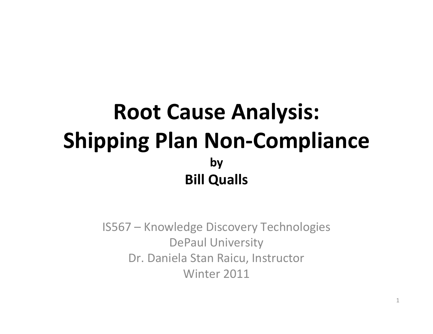## Root Cause Analysis:Shipping Plan Non-CompliancebyBill Qualls

IS567 – Knowledge Discovery TechnologiesDePaul University Dr. Daniela Stan Raicu, InstructorWinter 2011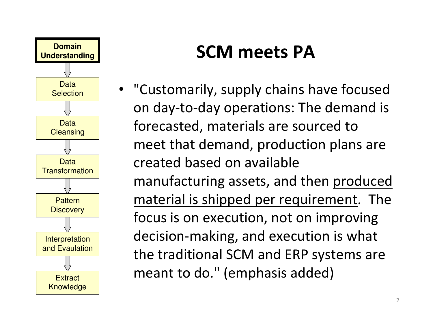

### SCM meets PA

• "Customarily, supply chains have focused on day-to-day operations: The demand isforecasted, materials are sourced to meet that demand, production plans arecreated based on availablemanufacturing assets, and then produced material is shipped per requirement. The focus is on execution, not on improvingdecision-making, and execution is whatthe traditional SCM and ERP systems aremeant to do." (emphasis added)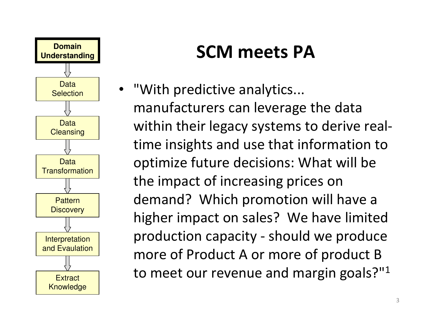

### SCM meets PA

• "With predictive analytics... manufacturers can leverage the datawithin their legacy systems to derive realtime insights and use that information tooptimize future decisions: What will bethe impact of increasing prices on demand? Which promotion will have a higher impact on sales? We have limited production capacity - should we produce more of Product A or more of product Bto meet our revenue and margin goals?" $^{\rm 1}$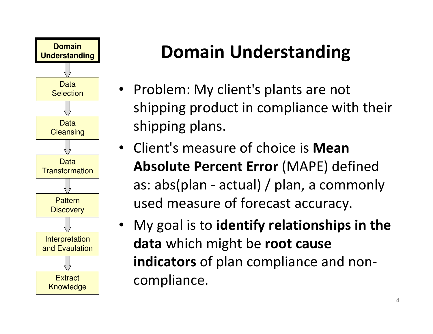

## Domain Understanding

- Problem: My client's plants are not shipping product in compliance with theirshipping plans.
- Client's measure of choice is Mean Absolute Percent Error (MAPE) defined as: abs(plan - actual) / plan, a commonlyused measure of forecast accuracy.
- My goal is to identify relationships in thedata which might be root causeindicators of plan compliance and noncompliance.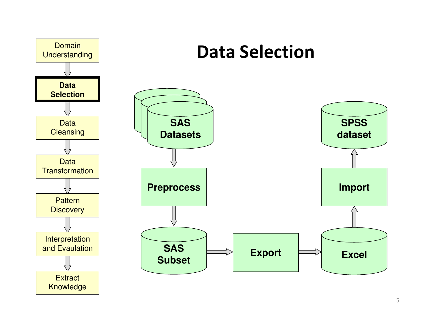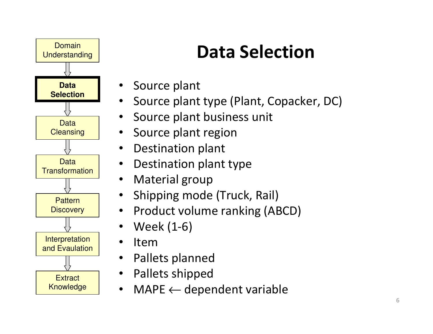

# Data Selection

- Source plant
- •Source plant type (Plant, Copacker, DC)
- •Source plant business unit
- •Source plant region
- •Destination plant
- •Destination plant type
- •Material group
- Shipping mode (Truck, Rail) •
- •Product volume ranking (ABCD)
- •Week (1-6)
- •Item
- Pallets planned •
- Pallets shipped
- MAPE ← dependent variable  $\bullet$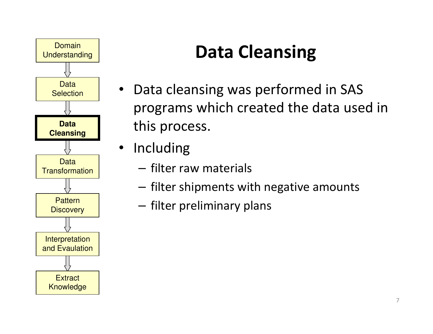

# Data Cleansing

- Data cleansing was performed in SAS programs which created the data used inthis process.
- Including
	- **Links of the Common**  $-$  filter raw materials
	- and the state of the  $-$  filter shipments with negative amounts
	- **Links of the Common**  $-$  filter preliminary plans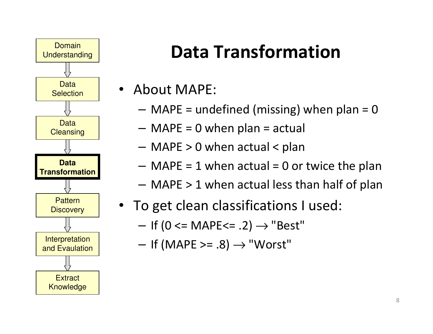

## Data Transformation

- • About MAPE:
	- **Links of the Common**  $-$  MAPE = undefined (missing) when plan = 0
	- **Links of the Common**  $-$  MAPE = 0 when plan = actual
	- **Links of the Common** MAPE > 0 when actual < plan
	- **Links of the Common**  $-$  MAPE = 1 when actual = 0 or twice the plan
	- **Links of the Common**  $-$  MAPE  $> 1$  when actual less than half of plan
- To get clean classifications I used:
	- and the state of the  $-$  If (0 <= MAPE<= .2)  $\rightarrow$  "Best"
	- – $-$  If (MAPE >= .8)  $\rightarrow$  "Worst"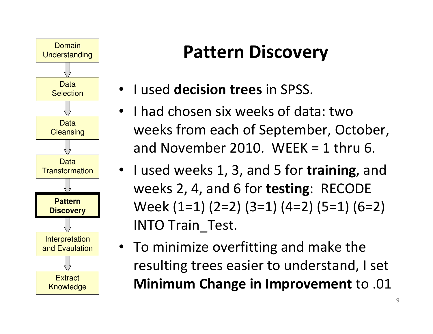

## Pattern Discovery

- I used decision trees in SPSS.
- • I had chosen six weeks of data: two weeks from each of September, October,and November 2010. WEEK  $=$  1 thru 6.
- I used weeks 1, 3, and 5 for training, and weeks 2, 4, and 6 for testing: RECODE Week (1=1) (2=2) (3=1) (4=2) (5=1) (6=2)INTO Train\_Test.
- To minimize overfitting and make theresulting trees easier to understand, I setMinimum Change in Improvement to .01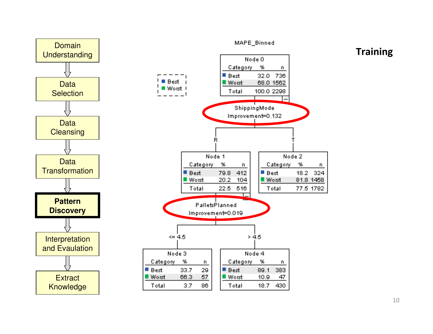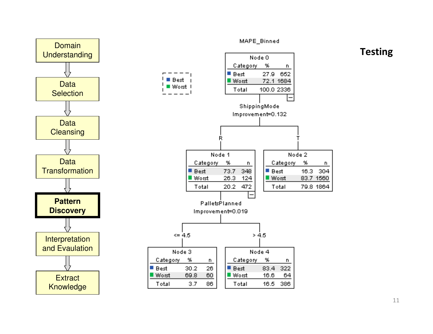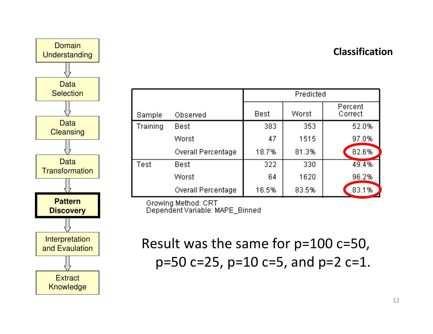



|                 |                           | Predicted   |       |                    |
|-----------------|---------------------------|-------------|-------|--------------------|
| Sample          | Observed                  | <b>Best</b> | Worst | Percent<br>Correct |
| <b>Training</b> | <b>Best</b>               | 383         | 353   | 52.0%              |
|                 | Worst                     | 47          | 1515  | 97.0%              |
|                 | <b>Overall Percentage</b> | 18.7%       | 81.3% | 82.6%              |
| Test            | Best                      | 322         | 330   | 49.4%              |
|                 | Worst                     | 64          | 1620  | 96.2%              |
|                 | <b>Overall Percentage</b> | 16.5%       | 83.5% | 83.1%              |

Growing Method: CRT Dependent Variable: MAPE Binned

Result was the same for p=100 c=50,p=50 c=25, p=10 c=5, and p=2 c=1.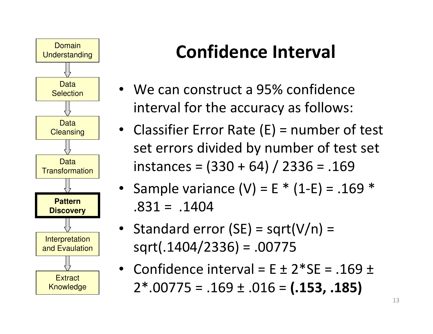

# Confidence Interval

- We can construct a 95% confidenceinterval for the accuracy as follows:
- Classifier Error Rate (E) = number of test set errors divided by number of test setinstances =  $(330 + 64) / 2336 = .169$
- Sample variance  $(V)$  = E  $*$  (1-E) = .169  $*$  $.831 = .1404$
- Standard error (SE) = sqrt(V/n) =sqrt(.1404/2336) = .00775
- Confidence interval =  $E \pm 2*SE = .169 \pm 169$  $2*.00775 = .169 \pm .016 = (.153, .185)$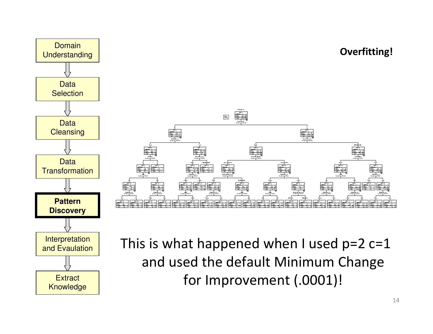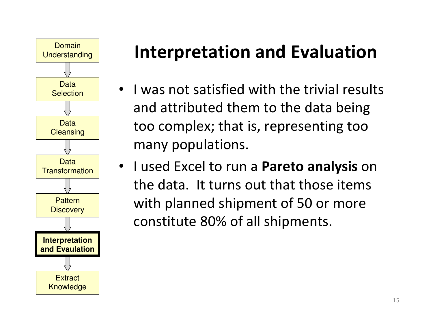

- I was not satisfied with the trivial resultsand attributed them to the data beingtoo complex; that is, representing toomany populations.
- I used Excel to run a **Pareto analysis** on the data. It turns out that those itemswith planned shipment of 50 or moreconstitute 80% of all shipments.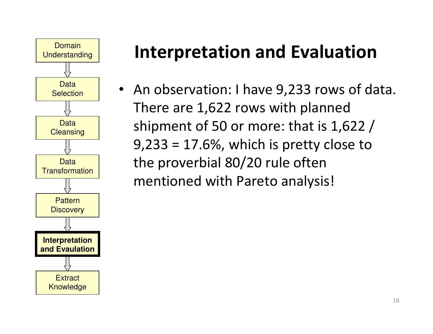

• An observation: I have 9,233 rows of data. There are 1,622 rows with planned shipment of 50 or more: that is 1,622 /9,233 = 17.6%, which is pretty close tothe proverbial 80/20 rule oftenmentioned with Pareto analysis!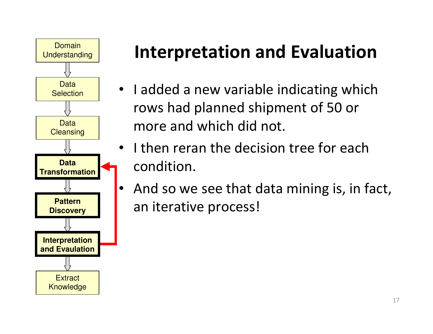

- I added a new variable indicating whichrows had planned shipment of 50 ormore and which did not.
- I then reran the decision tree for eachcondition.
- • And so we see that data mining is, in fact, an iterative process!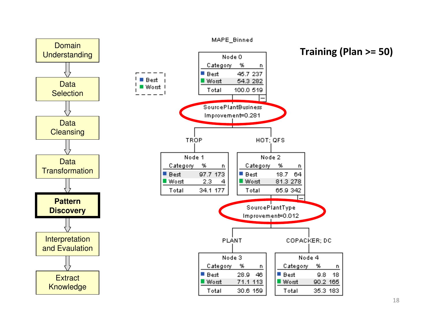

18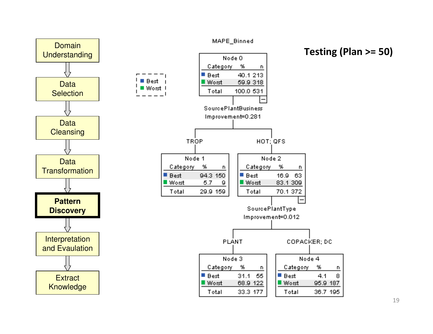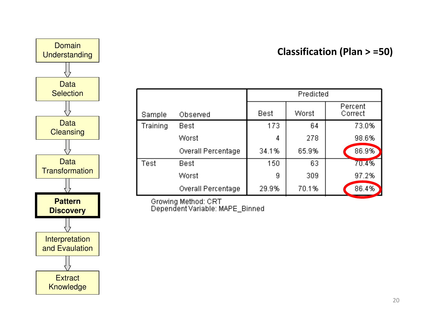



|          |                           | Predicted |       |                    |
|----------|---------------------------|-----------|-------|--------------------|
| Sample   | Observed                  | Best      | Worst | Percent<br>Correct |
| Training | Best                      | 173       | 64    | 73.0%              |
|          | Worst                     | 4         | 278   | 98.6%              |
|          | <b>Overall Percentage</b> | 34.1%     | 65.9% | 86.9%              |
| Test     | Best                      | 150       | 63    | 70.4%              |
|          | Worst                     | 9         | 309   | 97.2%              |
|          | <b>Overall Percentage</b> | 29.9%     | 70.1% | 86.4%              |

Growing Method: CRT<br>Dependent Variable: MAPE\_Binned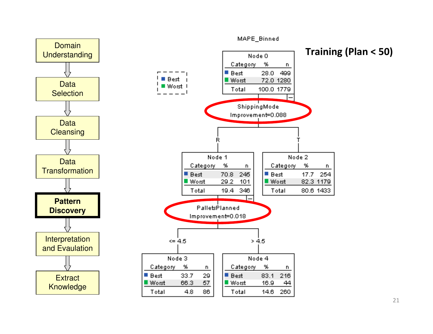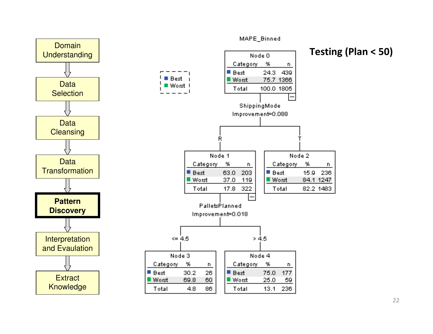

MAPE Binned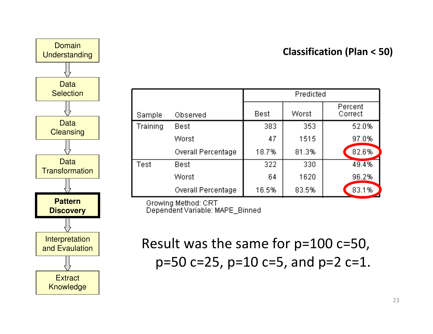



|          |                           | Predicted   |       |                    |
|----------|---------------------------|-------------|-------|--------------------|
| Sample   | Observed                  | <b>Best</b> | Worst | Percent<br>Correct |
| Training | Best                      | 383         | 353   | 52.0%              |
|          | Worst                     | 47          | 1515  | 97.0%              |
|          | <b>Overall Percentage</b> | 18.7%       | 81.3% | 82.6%              |
| Test     | Best                      | 322         | 330   | 49.4%              |
|          | Worst                     | 64          | 1620  | 96.2%              |
|          | <b>Overall Percentage</b> | 16.5%       | 83.5% | 83.1%              |

Growing Method: CRT Dependent Variable: MAPE Binned

Result was the same for p=100 c=50,p=50 c=25, p=10 c=5, and p=2 c=1.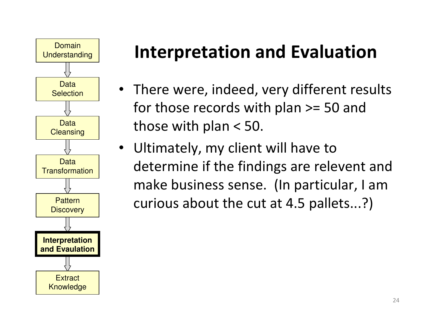

- There were, indeed, very different resultsfor those records with plan >= 50 andthose with plan < 50.
- Ultimately, my client will have to determine if the findings are relevent and make business sense. (In particular, I amcurious about the cut at 4.5 pallets...?)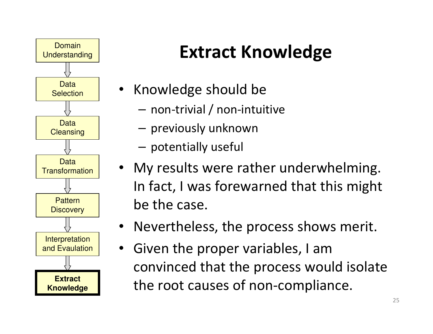

# Extract Knowledge

- Knowledge should be
	- **Links of the Common**  $-$  non-trivial / non-intuitive
	- **Links of the Common**  $-$  previously unknown
	- **Links of the Common**  $-$  potentially useful
- My results were rather underwhelming. In fact, I was forewarned that this mightbe the case.
- Nevertheless, the process shows merit.
- Given the proper variables, I am convinced that the process would isolatethe root causes of non-compliance.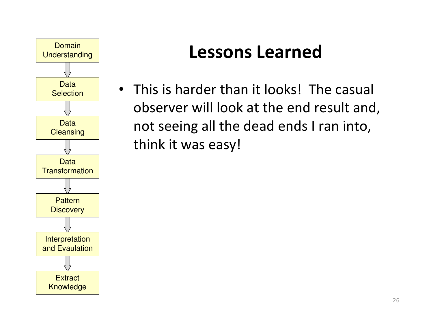

• This is harder than it looks! The casual observer will look at the end result and,not seeing all the dead ends I ran into,think it was easy!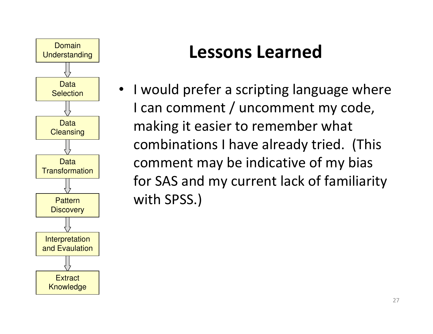

• I would prefer a scripting language whereI can comment / uncomment my code,making it easier to remember whatcombinations I have already tried. (Thiscomment may be indicative of my biasfor SAS and my current lack of familiaritywith SPSS.)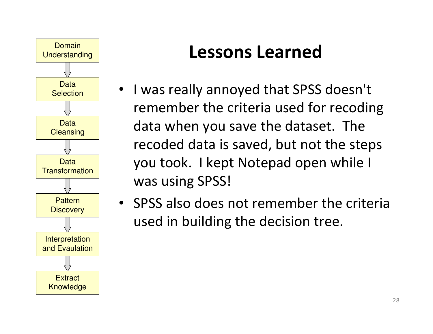

- I was really annoyed that SPSS doesn't remember the criteria used for recodingdata when you save the dataset. The recoded data is saved, but not the stepsyou took. I kept Notepad open while Iwas using SPSS!
- SPSS also does not remember the criteriaused in building the decision tree.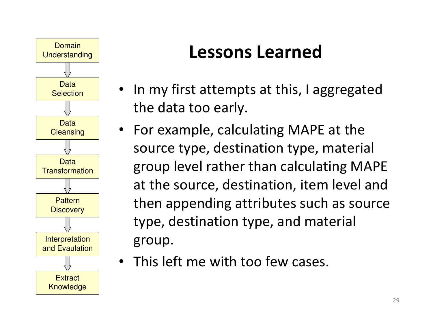

- In my first attempts at this, I aggregatedthe data too early.
- For example, calculating MAPE at thesource type, destination type, materialgroup level rather than calculating MAPEat the source, destination, item level and then appending attributes such as sourcetype, destination type, and materialgroup.
- This left me with too few cases.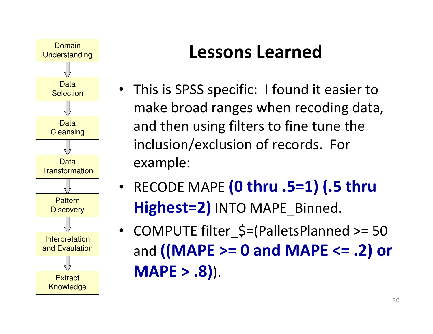

- This is SPSS specific: I found it easier to make broad ranges when recoding data,and then using filters to fine tune theinclusion/exclusion of records. Forexample:
- •• RECODE MAPE (0 thru .5=1) (.5 thru Highest=2) INTO MAPE Binned.
- COMPUTE filter\_\$=(PalletsPlanned >= 50 and ((MAPE >= 0 and MAPE <= .2) or $MAPE > .8$ ).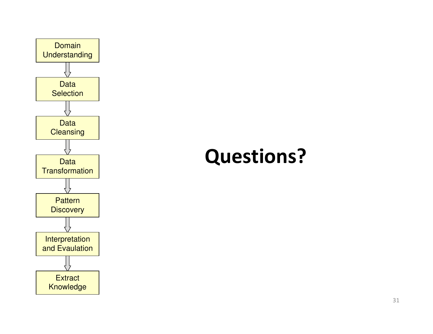

# Questions?